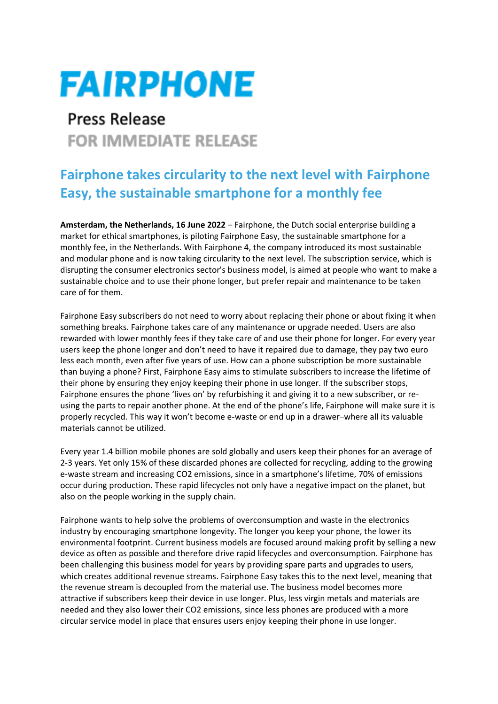## **FAIRPHONE**

## **Press Release FOR IMMEDIATE RELEASE**

## **Fairphone takes circularity to the next level with Fairphone Easy, the sustainable smartphone for a monthly fee**

**Amsterdam, the Netherlands, 16 June 2022** – Fairphone, the Dutch social enterprise building a market for ethical smartphones, is piloting Fairphone Easy, the sustainable smartphone for a monthly fee, in the Netherlands. With Fairphone 4, the company introduced its most sustainable and modular phone and is now taking circularity to the next level. The subscription service, which is disrupting the consumer electronics sector's business model, is aimed at people who want to make a sustainable choice and to use their phone longer, but prefer repair and maintenance to be taken care of for them.

Fairphone Easy subscribers do not need to worry about replacing their phone or about fixing it when something breaks. Fairphone takes care of any maintenance or upgrade needed. Users are also rewarded with lower monthly fees if they take care of and use their phone for longer. For every year users keep the phone longer and don't need to have it repaired due to damage, they pay two euro less each month, even after five years of use. How can a phone subscription be more sustainable than buying a phone? First, Fairphone Easy aims to stimulate subscribers to increase the lifetime of their phone by ensuring they enjoy keeping their phone in use longer. If the subscriber stops, Fairphone ensures the phone 'lives on' by refurbishing it and giving it to a new subscriber, or reusing the parts to repair another phone. At the end of the phone's life, Fairphone will make sure it is properly recycled. This way it won't become e-waste or end up in a drawer–where all its valuable materials cannot be utilized.

Every year 1.4 billion mobile phones are sold globally and users keep their phones for an average of 2-3 years. Yet only 15% of these discarded phones are collected for recycling, adding to the growing e-waste stream and increasing CO2 emissions, since in a smartphone's lifetime, 70% of emissions occur during production. These rapid lifecycles not only have a negative impact on the planet, but also on the people working in the supply chain.

Fairphone wants to help solve the problems of overconsumption and waste in the electronics industry by encouraging smartphone longevity. The longer you keep your phone, the lower its environmental footprint. Current business models are focused around making profit by selling a new device as often as possible and therefore drive rapid lifecycles and overconsumption. Fairphone has been challenging this business model for years by providing spare parts and upgrades to users, which creates additional revenue streams. Fairphone Easy takes this to the next level, meaning that the revenue stream is decoupled from the material use. The business model becomes more attractive if subscribers keep their device in use longer. Plus, less virgin metals and materials are needed and they also lower their CO2 emissions, since less phones are produced with a more circular service model in place that ensures users enjoy keeping their phone in use longer.